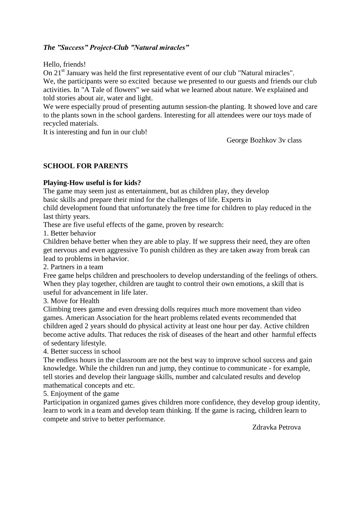# *The "Success" Project-Club "Natural miracles"*

Hello, friends!

On 21<sup>st</sup> January was held the first representative event of our club "Natural miracles". We, the participants were so excited because we presented to our guests and friends our club activities. In "A Tale of flowers" we said what we learned about nature. We explained and told stories about air, water and light.

We were especially proud of presenting autumn session-the planting. It showed love and care to the plants sown in the school gardens. Interesting for all attendees were our toys made of recycled materials.

It is interesting and fun in our club!

George Bozhkov 3v class

### **SCHOOL FOR PARENTS**

### **Playing-How useful is for kids?**

The game may seem just as entertainment, but as children play, they develop basic skills and prepare their mind for the challenges of life. Experts in

child development found that unfortunately the free time for children to play reduced in the last thirty years.

These are five useful effects of the game, proven by research:

1. Better behavior

Children behave better when they are able to play. If we suppress their need, they are often get nervous and even aggressive To punish children as they are taken away from break can lead to problems in behavior.

2. Partners in a team

Free game helps children and preschoolers to develop understanding of the feelings of others. When they play together, children are taught to control their own emotions, a skill that is useful for advancement in life later.

3. Move for Health

Climbing trees game and even dressing dolls requires much more movement than video games. American Association for the heart problems related events recommended that children aged 2 years should do physical activity at least one hour per day. Active children become active adults. That reduces the risk of diseases of the heart and other harmful effects of sedentary lifestyle.

4. Better success in school

The endless hours in the classroom are not the best way to improve school success and gain knowledge. While the children run and jump, they continue to communicate - for example, tell stories and develop their language skills, number and calculated results and develop mathematical concepts and etc.

5. Enjoyment of the game

Participation in organized games gives children more confidence, they develop group identity, learn to work in a team and develop team thinking. If the game is racing, children learn to compete and strive to better performance.

Zdravka Petrova